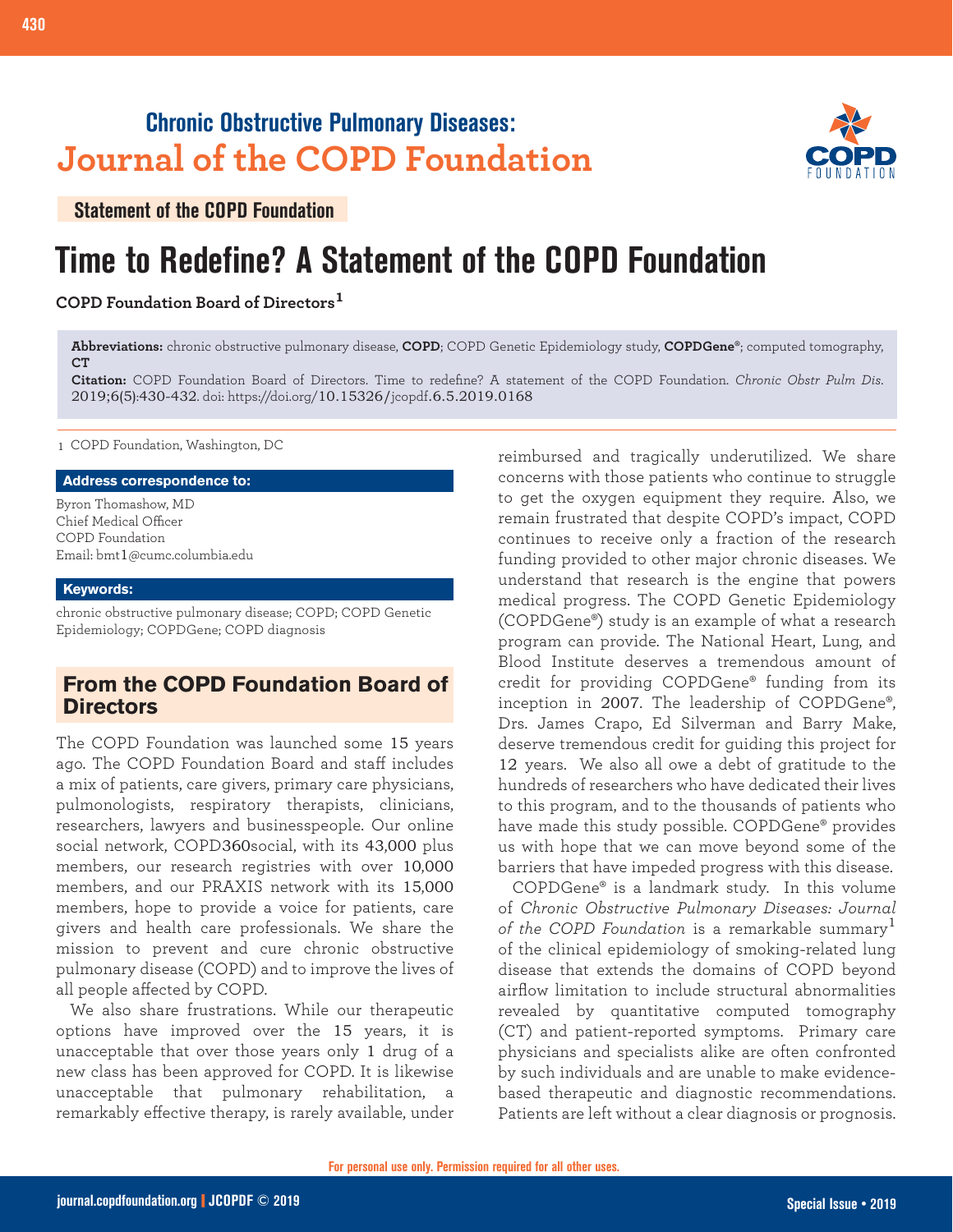## **Chronic Obstructive Pulmonary Diseases: Journal of the COPD Foundation**



**Statement of the COPD Foundation**

# **Time to Redefine? A Statement of the COPD Foundation**

## **COPD Foundation Board of Directors<sup>1</sup>**

**Abbreviations:** chronic obstructive pulmonary disease, **COPD**; COPD Genetic Epidemiology study, **COPDGene®**; computed tomography, **CT**

**Citation:** COPD Foundation Board of Directors. Time to redefine? A statement of the COPD Foundation. *Chronic Obstr Pulm Dis*. 2019;6(5):430-432. doi: https://doi.org/10.15326/jcopdf.6.5.2019.0168

1 COPD Foundation, Washington, DC

#### **Address correspondence to:**

Byron Thomashow, MD Chief Medical Officer COPD Foundation Email: bmt1@cumc.columbia.edu

#### **Keywords:**

chronic obstructive pulmonary disease; COPD; COPD Genetic Epidemiology; COPDGene; COPD diagnosis

## **From the COPD Foundation Board of Directors**

The COPD Foundation was launched some 15 years ago. The COPD Foundation Board and staff includes a mix of patients, care givers, primary care physicians, pulmonologists, respiratory therapists, clinicians, researchers, lawyers and businesspeople. Our online social network, COPD360social, with its 43,000 plus members, our research registries with over 10,000 members, and our PRAXIS network with its 15,000 members, hope to provide a voice for patients, care givers and health care professionals. We share the mission to prevent and cure chronic obstructive pulmonary disease (COPD) and to improve the lives of all people affected by COPD.

We also share frustrations. While our therapeutic options have improved over the 15 years, it is unacceptable that over those years only 1 drug of a new class has been approved for COPD. It is likewise unacceptable that pulmonary rehabilitation, a remarkably effective therapy, is rarely available, under

reimbursed and tragically underutilized. We share concerns with those patients who continue to struggle to get the oxygen equipment they require. Also, we remain frustrated that despite COPD's impact, COPD continues to receive only a fraction of the research funding provided to other major chronic diseases. We understand that research is the engine that powers medical progress. The COPD Genetic Epidemiology (COPDGene®) study is an example of what a research program can provide. The National Heart, Lung, and Blood Institute deserves a tremendous amount of credit for providing COPDGene® funding from its inception in 2007. The leadership of COPDGene®, Drs. James Crapo, Ed Silverman and Barry Make, deserve tremendous credit for guiding this project for 12 years. We also all owe a debt of gratitude to the hundreds of researchers who have dedicated their lives to this program, and to the thousands of patients who have made this study possible. COPDGene® provides us with hope that we can move beyond some of the barriers that have impeded progress with this disease.

COPDGene® is a landmark study. In this volume of *Chronic Obstructive Pulmonary Diseases: Journal of the COPD Foundation* is a remarkable summary<sup>1</sup> of the clinical epidemiology of smoking-related lung disease that extends the domains of COPD beyond airflow limitation to include structural abnormalities revealed by quantitative computed tomography (CT) and patient-reported symptoms. Primary care physicians and specialists alike are often confronted by such individuals and are unable to make evidencebased therapeutic and diagnostic recommendations. Patients are left without a clear diagnosis or prognosis.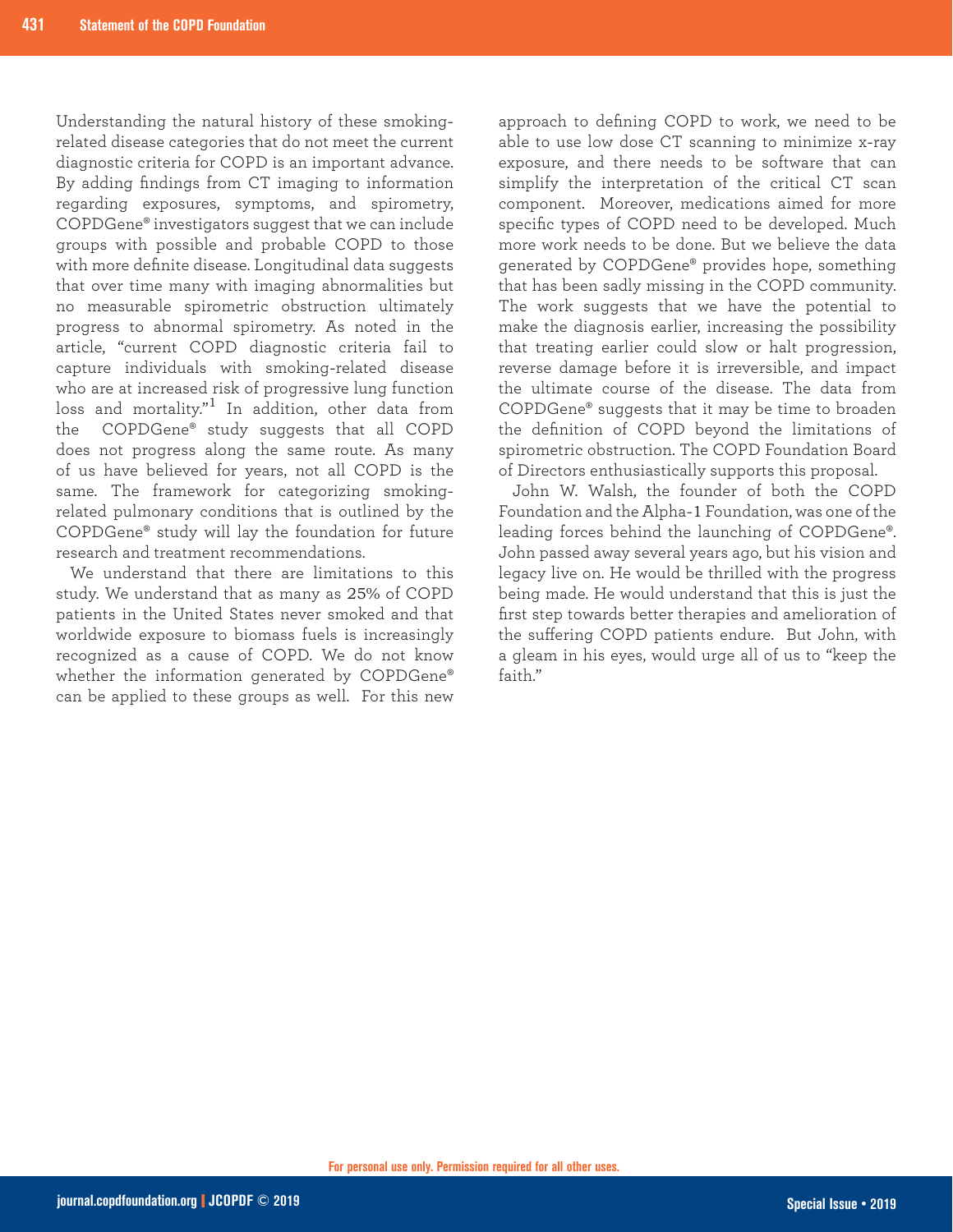Understanding the natural history of these smokingrelated disease categories that do not meet the current diagnostic criteria for COPD is an important advance. By adding findings from CT imaging to information regarding exposures, symptoms, and spirometry, COPDGene® investigators suggest that we can include groups with possible and probable COPD to those with more definite disease. Longitudinal data suggests that over time many with imaging abnormalities but no measurable spirometric obstruction ultimately progress to abnormal spirometry. As noted in the article, "current COPD diagnostic criteria fail to capture individuals with smoking-related disease who are at increased risk of progressive lung function loss and mortality."<sup>1</sup> In addition, other data from the COPDGene® study suggests that all COPD does not progress along the same route. As many of us have believed for years, not all COPD is the same. The framework for categorizing smokingrelated pulmonary conditions that is outlined by the COPDGene® study will lay the foundation for future research and treatment recommendations.

We understand that there are limitations to this study. We understand that as many as 25% of COPD patients in the United States never smoked and that worldwide exposure to biomass fuels is increasingly recognized as a cause of COPD. We do not know whether the information generated by COPDGene® can be applied to these groups as well. For this new

approach to defining COPD to work, we need to be able to use low dose CT scanning to minimize x-ray exposure, and there needs to be software that can simplify the interpretation of the critical CT scan component. Moreover, medications aimed for more specific types of COPD need to be developed. Much more work needs to be done. But we believe the data generated by COPDGene® provides hope, something that has been sadly missing in the COPD community. The work suggests that we have the potential to make the diagnosis earlier, increasing the possibility that treating earlier could slow or halt progression, reverse damage before it is irreversible, and impact the ultimate course of the disease. The data from COPDGene® suggests that it may be time to broaden the definition of COPD beyond the limitations of spirometric obstruction. The COPD Foundation Board of Directors enthusiastically supports this proposal.

John W. Walsh, the founder of both the COPD Foundation and the Alpha-1 Foundation, was one of the leading forces behind the launching of COPDGene®. John passed away several years ago, but his vision and legacy live on. He would be thrilled with the progress being made. He would understand that this is just the first step towards better therapies and amelioration of the suffering COPD patients endure. But John, with a gleam in his eyes, would urge all of us to "keep the faith."